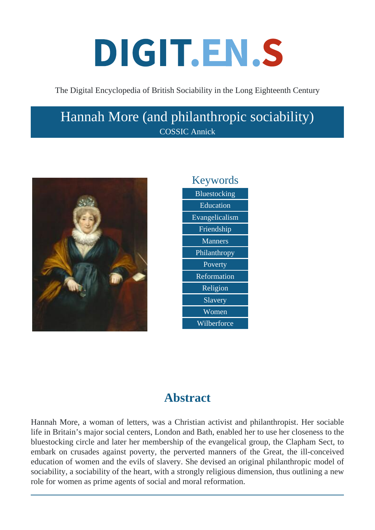# DIGIT.EN.S

The Digital Encyclopedia of British Sociability in the Long Eighteenth Century

## Hannah More (and philanthropic sociability) COSSIC Annick





## **Abstract**

Hannah More, a woman of letters, was a Christian activist and philanthropist. Her sociable life in Britain's major social centers, London and Bath, enabled her to use her closeness to the bluestocking circle and later her membership of the evangelical group, the Clapham Sect, to embark on crusades against poverty, the perverted manners of the Great, the ill-conceived education of women and the evils of slavery. She devised an original philanthropic model of sociability, a sociability of the heart, with a strongly religious dimension, thus outlining a new role for women as prime agents of social and moral reformation.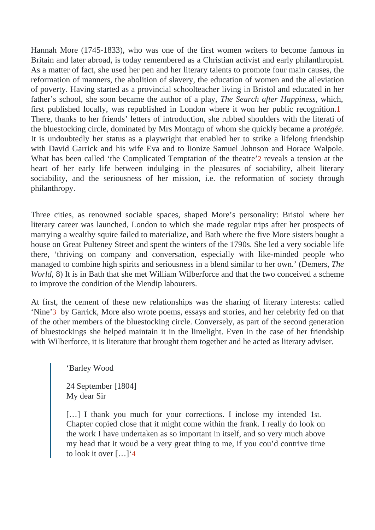Hannah More (1745-1833), who was one of the first women writers to become famous in Britain and later abroad, is today remembered as a Christian activist and early philanthropist. As a matter of fact, she used her pend her literary talents to promote four main causes, the reformation of manners, the abolition of slavery, the education of women and the alleviation of poverty. Having started as a provincial schoolteacher living in Bristol and educated in her father's school, she soon became the author of a  $\overline{p}$  hay, Search after Happines which, first published locally, was republished in London where it won her public recognition. There, thanks to her friends' letters of introduction, she rubbed shoulders with the literati of the bluestocking circle, dominated by Mrs Montagu of whom she quickly became age It is undoubtedly her status as a playwright that enabled her to strike a lifelong friendship with David Garrick and his wife Eva and to lionize Samuel Johnson and Horace Walpole. What has been called 'the Complicated Temptation of the the at the stension at the heart of her early life between indulging in the pleasures of sociability, albeit literary sociability, and the seriousness of her mission, i.e. the reformation of society through philanthropy.

Three cities, as renowned sociable spaces, shaped More's personality: Bristol where he literary career was launched, London to which she made regular trips after her prospects of marrying a wealthy squire failed to materialize, and Bath where the five More sisters bought a house on Great Pulteney Street and spent the winters of the 1790s. She led a very sociable lit there, 'thriving on company and conversation, especially with like-minded people who managed to combine high spirits and seriousness in a blend similar to her own.' (Demeers, World, 8) It is in Bath that she met William Wilberforce and that the two conceived a scheme to improve the condition of the Mendip labourers.

At first, the cement of these new relationships was the sharing of literary interests: called 'Nine'3 by Garrick, More also wrote poems, essays and stories, and her celebrity fed on that of the other members of the bluestocking circle. Conversely, as part of the second generation of bluestockings she helped maintain it in the limelight. Even in the case of her friendship with Wilberforce, it is literature that brought them together and he acted as literary adviser.

'Barley Wood

24 September [1804] My dear Sir

 $[...]$  I thank you much for your corrections. I inclose my intended 1 Chapter copied close that it might come within the frank. I really do look on the work I have undertaken as so important in itself, and so very much above my head that it woud be a very great thing to me, if you cou'd contrive time to look it over […]'4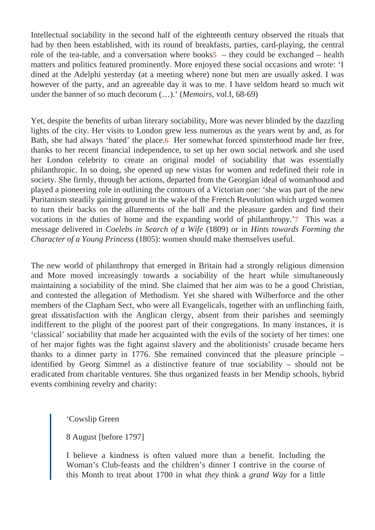Intellectual sociability in the second half of the eighteenth century observed the rituals that had by then been established, with its round of breakfasts, parties, card-playing, the central role of the tea-table, and a conversation where  $500$  kshey could be exchanged – health matters and politics featured prominently. More enjoyed these social occasions and wrote: ' dined at the Adelphi yesterday (at a meeting where) none but men are usually asked. I wa however of the party, and an agreeable day it was to me. I have seldom heard so much wit under the banner of so much decorum (.. Memoirs vol.I, 68-69)

Yet, despite the benefits of urban literary sociability, More was never blinded by the dazzling lights of the city. Her visits to London grew less numerous as the years went by and, as for Bath, she had always 'hated' the ploceler somewhat forced spinsterhood made her free, thanks to her recent financial independence, to set up her own social network and she use her London celebrity to create an original model of sociability that was essentially philanthropic. In so doing, she opened up new vistas for women and redefined their role in society. She firmly, through her actions, departed from the Georgian ideal of womanhood and played a pioneering role in outlining the contours of a Victorian one: 'she was part of the new Puritanism steadily gaining ground in the wake of the French Revolution which urged women to turn their backs on the allurements of the ball and the pleasure garden and find their vocations in the duties of home and the expanding world of philanthropyhis was a message delivered in Goelebs in Search of a Wife 809) or in Hints towards Forming the Character of a Young Prince \$805): women should make themselves useful.

The new world of philanthropy that emerged in Britain had a strongly religious dimension and More moved increasingly towards a sociability of the heart while simultaneously maintaining a sociability of the mind. She claimed that her aim was to be a good Christian, and contested the allegation of Methodism. Yet she shared with Wilberforce and the other members of the Clapham Sect, who were all Evangelicals, together with an unflinching faith, great dissatisfaction with the Anglican clergy, absent from their parishes and seemingly indifferent to the plight of the poorest part of their congregations. In many instances, it is 'classical' sociability that made her acquainted with the evils of the society of her times: one of her major fights was the fight against slavery and the abolitionists' crusade became hers thanks to a dinner party in 1776. She remained convinced that the pleasure principle – identified by Georg Simmel as a distinctive feature of true sociability – should not be eradicated from charitable ventures. She thus organized feasts in her Mendip schools, hybrid events combining revelry and charity:

'Cowslip Green

8 August [before 1797]

I believe a kindness is often valued more than a benefit. Including the Woman's Club-feasts and the children's dinner I contrive in the course of this Month to treat about 1700 in what they think a grand Way for a little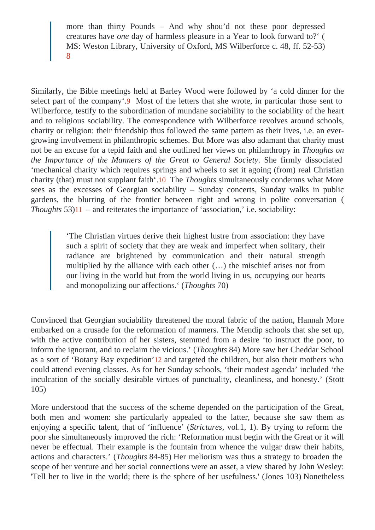more than thirty Pounds – And why shou'd not these poor depressed creatures haveneday of harmless pleasure in a Year to look forward (to? MS: Weston Library, University of Oxford, MS Wilberforce c. 48, ff. 52-53) 8

Similarly, the Bible meetings held at Barley Wood were followed by 'a cold dinner for the select part of the company Most of the letters that she wrote, in particular those sent to Wilberforce, testify to the subordination of mundane sociability to the sociability of the heart and to religious sociability. The correspondence with Wilberforce revolves around schools, charity or religion: their friendship thus followed the same pattern as their lives, i.e. an evergrowing involvement in philanthropic schemes. But More was also adamant that charity must not be an excuse for a tepid faith and she outlined her views on philanthropy up the on the Importance of the Manners of the Great to General Socety firmly dissociated 'mechanical charity which requires springs and wheels to set it agoing (from) real Christian charity (that) must not supplant faith The Thoughts simultaneously condemns what More sees as the excesses of Georgian sociability - Sunday concerts, Sunday walks in publigardens, the blurring of the frontier between right and wrong in polite conversation ( Thoughts  $3)11 -$  and reiterates the importance of 'association,' i.e. sociability:

> 'The Christian virtues derive their highest lustre from association: they have such a spirit of society that they are weak and imperfect when solitary, their radiance are brightened by communication and their natural strength multiplied by the alliance with each other (…) the mischief arises not from our living in the world but from the world living in us, occupying our hearts and monopolizing our affections. Thoughts 70)

Convinced that Georgian sociability threatened the moral fabric of the nation, Hannah More embarked on a crusade for the reformation of manners. The Mendip schools that she set up with the active contribution of her sisters, stemmed from a desire 'to instruct the poor, to inform the ignorant, and to reclaim the vicious.houghts 84) More saw her Cheddar School as a sort of 'Botany Bay expedition' and targeted the children, but also their mothers who could attend evening classes. As for her Sunday schools, 'their modest agenda' included 'the inculcation of the socially desirable virtues of punctuality, cleanliness, and honesty.' (Stott 105)

More understood that the success of the scheme depended on the participation of the Great both men and women: she particularly appealed to the latter, because she saw them a enjoying a specific talent, that of 'influenc&t(ictures vol.1, 1). By trying to reform the poor she simultaneously improved the rich: 'Reformation must begin with the Great or it will never be effectual. Their example is the fountain from whence the vulgar draw their habits, actions and characters. Thought \$4-85) Her meliorism was thus a strategy to broaden the scope of her venture and her social connections were an asset, a view shared by John Wesle 'Tell her to live in the world; there is the sphere of her usefulness.' (Jones 103) Nonetheless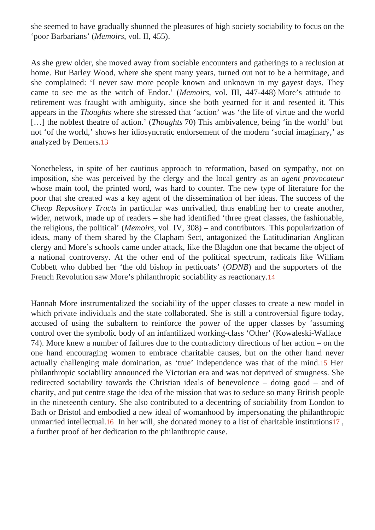she seemed to have gradually shunned the pleasures of high society sociability to focus on the 'poor Barbarians' Memoirs vol. II, 455).

As she grew older, she moved away from sociable encounters and gatherings to a reclusion at home. But Barley Wood, where she spent many years, turned out not to be a hermitage, an she complained: 'I never saw more people known and unknown in my gayest days. They came to see me as the witch of EndoMe moirs vol. III, 447-448) More's attitude to retirement was fraught with ambiguity, since she both yearned for it and resented it. This appears in the Thoughts where she stressed that 'action' was 'the life of virtue and the world [...] the noblest theatre of actionTh(oughts 70) This ambivalence, being 'in the world' but not 'of the world,' shows her idiosyncratic endorsement of the modern 'social imaginary,' as analyzed by Demerts

Nonetheless, in spite of her cautious approach to reformation, based on sympathy, not on imposition, she was perceived by the clergy and the local gentry ageant provocateur whose main tool, the printed word, was hard to counter. The new type of literature for the poor that she created was a key agent of the dissemination of her ideas. The success of the Cheap Repository Tractis particular was unrivalled, thus enabling her to create another, wider, network, made up of readers – she had identified 'three great classes, the fashionable the religious, the political' Memoirs, vol. IV, 308) – and contributors. This popularization of ideas, many of them shared by the Clapham Sect, antagonized the Latitudinarian Anglican clergy and More's schools came under attack, like the Blagdon one that became the object of a national controversy. At the other end of the political spectrum, radicals like William Cobbett who dubbed her 'the old bishop in petticoat EDNB) and the supporters of the French Revolution saw More's philanthropic sociability as reactionary.

Hannah More instrumentalized the sociability of the upper classes to create a newnmodel which private individuals and the state collaborated. She is still a controversial figure today, accused of using the subaltern to reinforce the power of the upper classes by 'assuming control over the symbolic body of an infantilized working-class the '(Kowaleski-Wallace 74). More knew a number of failures due to the contradictory directions of her action – on the one hand encouraging women to embrace charitable causes, but on the other hand never actually challenging male domination, as 'true' independence was that of the milted. philanthropic sociability announced the Victorian era and was not deprived of smugness. She redirected sociability towards the Christian ideals of benevolence – doing good – and of charity, and put centre stage the idea of the mission that was to seduce so many British people in the nineteenth century. She also contributed to a decentring of sociability from London to Bath or Bristol and embodied a new ideal of womanhood by impersonating the philanthropic unmarried intellectual<sup>6</sup> In her will, she donated money to a list of charitable institutions a further proof of her dedication to the philanthropic cause.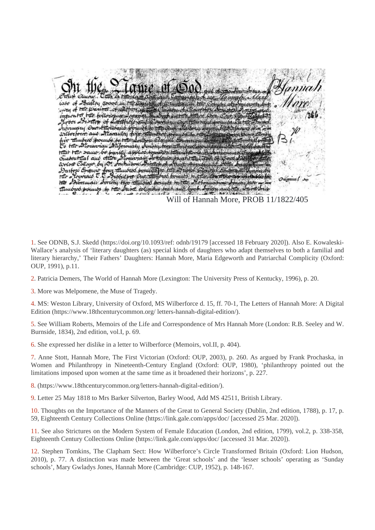$\alpha$  means  $\alpha$ iate of Bailey wood in the was of the parison of suffice  $t$ *ticata tas folloris* woor 23 rollep of Little *Auformary Orant* wilberform aus Maraulty <del>.</del> for thunbers pounds to the To the Itoravian Miloronary tital the same be partly applied to Quabout that and other Welse College by De Jeanusous y 25° Francisco Protivate<br>four timbros ponicità fra 15<br>t. India en Our timbros e Darforo Esquit otraco T obul per Out orichy two transferred bornuos to the Here Substance trunorod bounds to the A rollmous brad and Will of Hannah More, PROB 11/1822/405

1. See ODNB, S.J. Skedd (https://doi.org/10.1093/ref: odnb/19179 [accessed 18 February 2020]). Also E. Kowaleski-Wallace's analysis of 'literary daughters (as) special kinds of daughters who adapt themselves to both a familial and literary hierarchy,' Their Fathers' Daughters: Hannah More, Maria Edgeworth and Patriarchal Complicity (Oxford: OUP, 1991), p.11.

2. Patricia Demers, The World of Hannah More (Lexington: The University Press of Kentucky, 1996), p. 20.

3. More was Melpomene, the Muse of Tragedy.

4. MS: Weston Library, University of Oxford, MS Wilberforce d. 15, ff. 70-1, The Letters of Hannah More: A Digital Edition (https://www.18thcenturycommon.org/ letters-hannah-digital-edition/).

5. See William Roberts, Memoirs of the Life and Correspondence of Mrs Hannah More (London: R.B. Seeley and W. Burnside, 1834), 2nd edition, vol.I, p. 69.

6. She expressed her dislike in a letter to Wilberforce (Memoirs, vol.II, p. 404).

7. Anne Stott, Hannah More, The First Victorian (Oxford: OUP, 2003), p. 260. As argued by Frank Prochaska, in Women and Philanthropy in Nineteenth-Century England (Oxford: OUP, 1980), 'philanthropy pointed out the limitations imposed upon women at the same time as it broadened their horizons', p. 227.

8. (https://www.18thcenturycommon.org/letters-hannah-digital-edition/).

9. Letter 25 May 1818 to Mrs Barker Silverton, Barley Wood, Add MS 42511, British Library.

10. Thoughts on the Importance of the Manners of the Great to General Society (Dublin, 2nd edition, 1788), p. 17, p. 59, Eighteenth Century Collections Online (https://link.gale.com/apps/doc/ [accessed 25 Mar. 2020]).

11. See also Strictures on the Modern System of Female Education (London, 2nd edition, 1799), vol.2, p. 338-358, Eighteenth Century Collections Online (https://link.gale.com/apps/doc/ [accessed 31 Mar. 2020]).

12. Stephen Tomkins, The Clapham Sect: How Wilberforce's Circle Transformed Britain (Oxford: Lion Hudson, 2010), p. 77. A distinction was made between the 'Great schools' and the 'lesser schools' operating as 'Sunday schools', Mary Gwladys Jones, Hannah More (Cambridge: CUP, 1952), p. 148-167.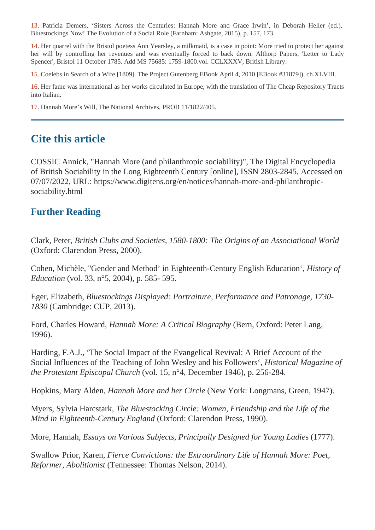13. Patricia Demers, 'Sisters Across the Centuries: Hannah More and Grace Irwin', in Deborah Heller (ed.), Bluestockings Now! The Evolution of a Social Role (Farnham: Ashgate, 2015), p. 157, 173.

14. Her quarrel with the Bristol poetess Ann Yearsley, a milkmaid, is a case in point: More tried to protect her against her will by controlling her revenues and was eventually forced to back down. Althorp Papers, 'Letter to Lady Spencer', Bristol 11 October 1785. Add MS 75685: 1759-1800.vol. CCLXXXV, British Library.

15. Coelebs in Search of a Wife [1809]. The Project Gutenberg EBook April 4, 2010 [EBook #31879]), ch.XLVIII.

16. Her fame was international as her works circulated in Europe, with the translation of The Cheap Repository Tracts into Italian.

17. Hannah More's Will, The National Archives, PROB 11/1822/405.

#### **Cite this article**

COSSIC Annick, "Hannah More (and philanthropic sociability)", The Digital Encyclopedia of British Sociability in the Long Eighteenth Century [online], ISSN 2803-2845, Accessed on 07/07/2022, URL: https://www.digitens.org/en/notices/hannah-more-and-philanthropicsociability.html

#### **Further Reading**

Clark, Peter, *British Clubs and Societies, 1580-1800: The Origins of an Associational World* (Oxford: Clarendon Press, 2000).

Cohen, Michèle, ''Gender and Method' in Eighteenth-Century English Education', *History of Education* (vol. 33, n°5, 2004), p. 585- 595.

Eger, Elizabeth, *Bluestockings Displayed: Portraiture, Performance and Patronage, 1730- 1830* (Cambridge: CUP, 2013).

Ford, Charles Howard, *Hannah More: A Critical Biography* (Bern, Oxford: Peter Lang, 1996).

Harding, F.A.J., 'The Social Impact of the Evangelical Revival: A Brief Account of the Social Influences of the Teaching of John Wesley and his Followers', *Historical Magazine of the Protestant Episcopal Church* (vol. 15, n°4, December 1946), p. 256-284.

Hopkins, Mary Alden, *Hannah More and her Circle* (New York: Longmans, Green, 1947).

Myers, Sylvia Harcstark, *The Bluestocking Circle: Women, Friendship and the Life of the Mind in Eighteenth-Century England* (Oxford: Clarendon Press, 1990).

More, Hannah, *Essays on Various Subjects, Principally Designed for Young Ladie*s (1777).

Swallow Prior, Karen, *Fierce Convictions: the Extraordinary Life of Hannah More: Poet, Reformer, Abolitionist* (Tennessee: Thomas Nelson, 2014).